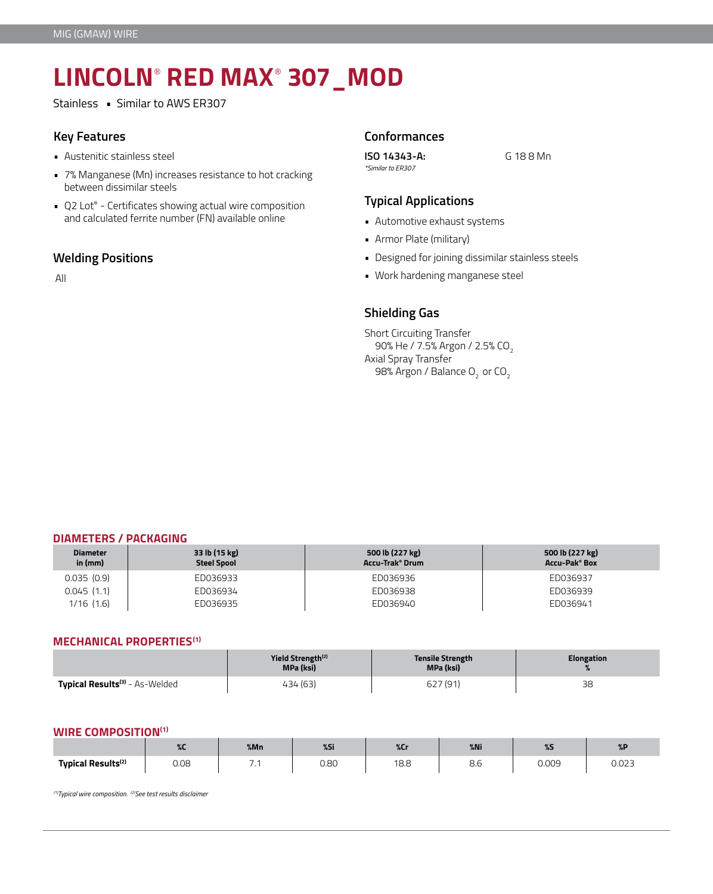# **LINCOLN**®  **RED MAX**®  **307\_MOD**

Stainless • Similar to AWS ER307

- Austenitic stainless steel
- 7% Manganese (Mn) increases resistance to hot cracking between dissimilar steels
- Q2 Lot® Certificates showing actual wire composition and calculated ferrite number (FN) available online • **Automotive exhaust systems**

# **Welding Positions**

All

# **Key Features Conformances**

**ISO 14343-A:** G 18 8 Mn *\*Similar to ER307*

# **Typical Applications**

- 
- Armor Plate (military)
- Designed for joining dissimilar stainless steels
- Work hardening manganese steel

# **Shielding Gas**

Short Circuiting Transfer 90% He / 7.5% Argon / 2.5% CO<sub>2</sub> Axial Spray Transfer 98% Argon / Balance O<sub>2</sub> or CO<sub>2</sub>

# **DIAMETERS / PACKAGING**

| <b>Diameter</b><br>in (mm) | 33 lb (15 kg)<br><b>Steel Spool</b> | 500 lb (227 kg)<br>Accu-Trak® Drum | 500 lb (227 kg)<br>Accu-Pak® Box |
|----------------------------|-------------------------------------|------------------------------------|----------------------------------|
| 0.035(0.9)                 | ED036933                            | ED036936                           | ED036937                         |
| 0.045(1.1)                 | ED036934                            | ED036938                           | ED036939                         |
| $1/16$ $(1.6)$             | ED036935                            | ED036940                           | ED036941                         |

## **MECHANICAL PROPERTIES(1)**

|                                                  | Yield Strength <sup>(2)</sup><br>MPa (ksi) | <b>Tensile Strength</b><br>MPa (ksi) | <b>Elongation</b> |
|--------------------------------------------------|--------------------------------------------|--------------------------------------|-------------------|
| <b>Typical Results<sup>(3)</sup> - As-Welded</b> | 434 (63)                                   | 627 (91)                             | 38                |

# **WIRE COMPOSITION(1)**

|                                               | ---<br>$\overline{\phantom{a}}$ | %Mn | $\sim$<br>$6-7$ | %C <sub>1</sub> | $%$ Ni | <b>CALL 2015</b><br>$\sim$ | $\sqrt{ }$      |
|-----------------------------------------------|---------------------------------|-----|-----------------|-----------------|--------|----------------------------|-----------------|
| <b>Typical Results<sup>(2)</sup></b><br>.<br> | 0.08                            | . . | 0.80            | 10C<br>10.0     | o.u    | 0.009<br>.                 | 0.027<br>C.SU.U |

*(1)Typical wire composition. (2)See test results disclaimer*